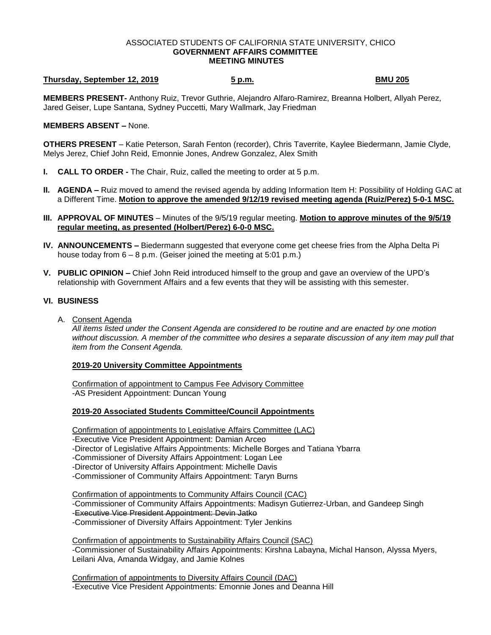### ASSOCIATED STUDENTS OF CALIFORNIA STATE UNIVERSITY, CHICO **GOVERNMENT AFFAIRS COMMITTEE MEETING MINUTES**

# **Thursday, September 12, 2019 5 p.m. BMU 205**

**MEMBERS PRESENT-** Anthony Ruiz, Trevor Guthrie, Alejandro Alfaro-Ramirez, Breanna Holbert, Allyah Perez, Jared Geiser, Lupe Santana, Sydney Puccetti, Mary Wallmark, Jay Friedman

### **MEMBERS ABSENT –** None.

**OTHERS PRESENT** – Katie Peterson, Sarah Fenton (recorder), Chris Taverrite, Kaylee Biedermann, Jamie Clyde, Melys Jerez, Chief John Reid, Emonnie Jones, Andrew Gonzalez, Alex Smith

- **I. CALL TO ORDER -** The Chair, Ruiz, called the meeting to order at 5 p.m.
- **II. AGENDA –** Ruiz moved to amend the revised agenda by adding Information Item H: Possibility of Holding GAC at a Different Time. **Motion to approve the amended 9/12/19 revised meeting agenda (Ruiz/Perez) 5-0-1 MSC.**
- **III. APPROVAL OF MINUTES** Minutes of the 9/5/19 regular meeting. **Motion to approve minutes of the 9/5/19 regular meeting, as presented (Holbert/Perez) 6-0-0 MSC.**
- **IV. ANNOUNCEMENTS –** Biedermann suggested that everyone come get cheese fries from the Alpha Delta Pi house today from 6 – 8 p.m. (Geiser joined the meeting at 5:01 p.m.)
- **V. PUBLIC OPINION –** Chief John Reid introduced himself to the group and gave an overview of the UPD's relationship with Government Affairs and a few events that they will be assisting with this semester.

## **VI. BUSINESS**

A. Consent Agenda

*All items listed under the Consent Agenda are considered to be routine and are enacted by one motion without discussion. A member of the committee who desires a separate discussion of any item may pull that item from the Consent Agenda.* 

### **2019-20 University Committee Appointments**

Confirmation of appointment to Campus Fee Advisory Committee -AS President Appointment: Duncan Young

### **2019-20 Associated Students Committee/Council Appointments**

Confirmation of appointments to Legislative Affairs Committee (LAC)

- -Executive Vice President Appointment: Damian Arceo
- -Director of Legislative Affairs Appointments: Michelle Borges and Tatiana Ybarra
- -Commissioner of Diversity Affairs Appointment: Logan Lee
- -Director of University Affairs Appointment: Michelle Davis
- -Commissioner of Community Affairs Appointment: Taryn Burns

Confirmation of appointments to Community Affairs Council (CAC)

- -Commissioner of Community Affairs Appointments: Madisyn Gutierrez-Urban, and Gandeep Singh
- -Executive Vice President Appointment: Devin Jatko

-Commissioner of Diversity Affairs Appointment: Tyler Jenkins

Confirmation of appointments to Sustainability Affairs Council (SAC) -Commissioner of Sustainability Affairs Appointments: Kirshna Labayna, Michal Hanson, Alyssa Myers, Leilani Alva, Amanda Widgay, and Jamie Kolnes

Confirmation of appointments to Diversity Affairs Council (DAC) -Executive Vice President Appointments: Emonnie Jones and Deanna Hill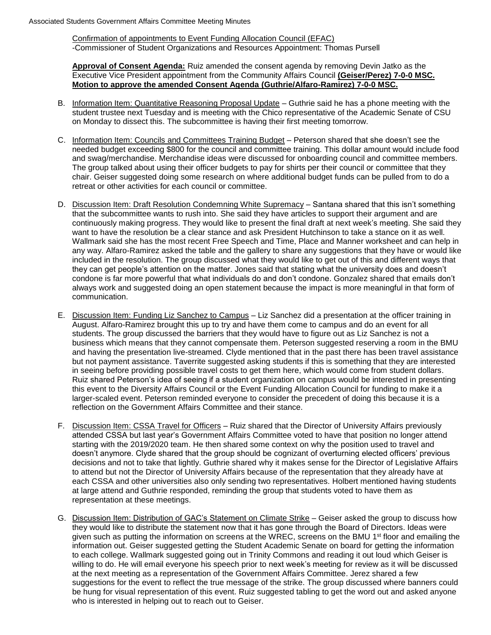Confirmation of appointments to Event Funding Allocation Council (EFAC) -Commissioner of Student Organizations and Resources Appointment: Thomas Pursell

**Approval of Consent Agenda:** Ruiz amended the consent agenda by removing Devin Jatko as the Executive Vice President appointment from the Community Affairs Council **(Geiser/Perez) 7-0-0 MSC. Motion to approve the amended Consent Agenda (Guthrie/Alfaro-Ramirez) 7-0-0 MSC.** 

- B. Information Item: Quantitative Reasoning Proposal Update Guthrie said he has a phone meeting with the student trustee next Tuesday and is meeting with the Chico representative of the Academic Senate of CSU on Monday to dissect this. The subcommittee is having their first meeting tomorrow.
- C. Information Item: Councils and Committees Training Budget Peterson shared that she doesn't see the needed budget exceeding \$800 for the council and committee training. This dollar amount would include food and swag/merchandise. Merchandise ideas were discussed for onboarding council and committee members. The group talked about using their officer budgets to pay for shirts per their council or committee that they chair. Geiser suggested doing some research on where additional budget funds can be pulled from to do a retreat or other activities for each council or committee.
- D. Discussion Item: Draft Resolution Condemning White Supremacy Santana shared that this isn't something that the subcommittee wants to rush into. She said they have articles to support their argument and are continuously making progress. They would like to present the final draft at next week's meeting. She said they want to have the resolution be a clear stance and ask President Hutchinson to take a stance on it as well. Wallmark said she has the most recent Free Speech and Time, Place and Manner worksheet and can help in any way. Alfaro-Ramirez asked the table and the gallery to share any suggestions that they have or would like included in the resolution. The group discussed what they would like to get out of this and different ways that they can get people's attention on the matter. Jones said that stating what the university does and doesn't condone is far more powerful that what individuals do and don't condone. Gonzalez shared that emails don't always work and suggested doing an open statement because the impact is more meaningful in that form of communication.
- E. Discussion Item: Funding Liz Sanchez to Campus Liz Sanchez did a presentation at the officer training in August. Alfaro-Ramirez brought this up to try and have them come to campus and do an event for all students. The group discussed the barriers that they would have to figure out as Liz Sanchez is not a business which means that they cannot compensate them. Peterson suggested reserving a room in the BMU and having the presentation live-streamed. Clyde mentioned that in the past there has been travel assistance but not payment assistance. Taverrite suggested asking students if this is something that they are interested in seeing before providing possible travel costs to get them here, which would come from student dollars. Ruiz shared Peterson's idea of seeing if a student organization on campus would be interested in presenting this event to the Diversity Affairs Council or the Event Funding Allocation Council for funding to make it a larger-scaled event. Peterson reminded everyone to consider the precedent of doing this because it is a reflection on the Government Affairs Committee and their stance.
- F. Discussion Item: CSSA Travel for Officers Ruiz shared that the Director of University Affairs previously attended CSSA but last year's Government Affairs Committee voted to have that position no longer attend starting with the 2019/2020 team. He then shared some context on why the position used to travel and doesn't anymore. Clyde shared that the group should be cognizant of overturning elected officers' previous decisions and not to take that lightly. Guthrie shared why it makes sense for the Director of Legislative Affairs to attend but not the Director of University Affairs because of the representation that they already have at each CSSA and other universities also only sending two representatives. Holbert mentioned having students at large attend and Guthrie responded, reminding the group that students voted to have them as representation at these meetings.
- G. Discussion Item: Distribution of GAC's Statement on Climate Strike Geiser asked the group to discuss how they would like to distribute the statement now that it has gone through the Board of Directors. Ideas were given such as putting the information on screens at the WREC, screens on the BMU 1<sup>st</sup> floor and emailing the information out. Geiser suggested getting the Student Academic Senate on board for getting the information to each college. Wallmark suggested going out in Trinity Commons and reading it out loud which Geiser is willing to do. He will email everyone his speech prior to next week's meeting for review as it will be discussed at the next meeting as a representation of the Government Affairs Committee. Jerez shared a few suggestions for the event to reflect the true message of the strike. The group discussed where banners could be hung for visual representation of this event. Ruiz suggested tabling to get the word out and asked anyone who is interested in helping out to reach out to Geiser.